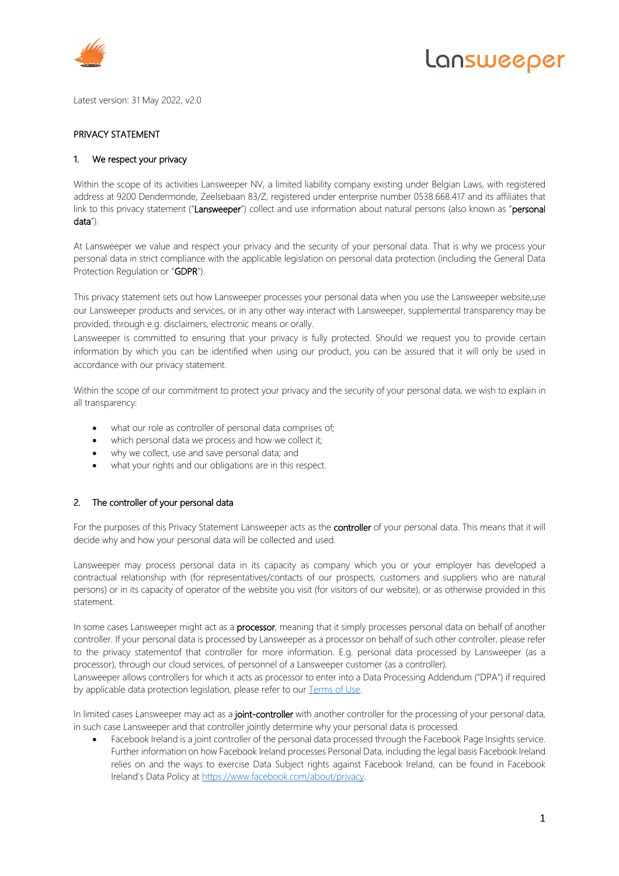

# Lansweeper

Latest version: 31 May 2022, v2.0

# PRIVACY STATEMENT

#### 1. We respect your privacy

Within the scope of its activities Lansweeper NV, a limited liability company existing under Belgian Laws, with registered address at 9200 Dendermonde, Zeelsebaan 83/Z, registered under enterprise number 0538.668.417 and its affiliates that link to this privacy statement ("Lansweeper") collect and use information about natural persons (also known as "personal data").

At Lansweeper we value and respect your privacy and the security of your personal data. That is why we process your personal data in strict compliance with the applicable legislation on personal data protection (including the General Data Protection Regulation or "GDPR").

This privacy statement sets out how Lansweeper processes your personal data when you use the Lansweeper website,use our Lansweeper products and services, or in any other way interact with Lansweeper, supplemental transparency may be provided, through e.g. disclaimers, electronic means or orally.

Lansweeper is committed to ensuring that your privacy is fully protected. Should we request you to provide certain information by which you can be identified when using our product, you can be assured that it will only be used in accordance with our privacy statement.

Within the scope of our commitment to protect your privacy and the security of your personal data, we wish to explain in all transparency:

- what our role as controller of personal data comprises of;
- which personal data we process and how we collect it;
- why we collect, use and save personal data; and
- what your rights and our obligations are in this respect.

## 2. The controller of your personal data

For the purposes of this Privacy Statement Lansweeper acts as the controller of your personal data. This means that it will decide why and how your personal data will be collected and used.

Lansweeper may process personal data in its capacity as company which you or your employer has developed a contractual relationship with (for representatives/contacts of our prospects, customers and suppliers who are natural persons) or in its capacity of operator of the website you visit (for visitors of our website), or as otherwise provided in this statement.

In some cases Lansweeper might act as a **processor**, meaning that it simply processes personal data on behalf of another controller. If your personal data is processed by Lansweeper as a processor on behalf of such other controller, please refer to the privacy statementof that controller for more information. E.g. personal data processed by Lansweeper (as a processor), through our cloud services, of personnel of a Lansweeper customer (as a controller).

Lansweeper allows controllers for which it acts as processor to enter into a Data Processing Addendum ("DPA") if required by applicable data protection legislation, please refer to our Terms of Use.

In limited cases Lansweeper may act as a joint-controller with another controller for the processing of your personal data, in such case Lansweeper and that controller jointly determine why your personal data is processed.

• Facebook Ireland is a joint controller of the personal data processed through the Facebook Page Insights service. Further information on how Facebook Ireland processes Personal Data, including the legal basis Facebook Ireland relies on and the ways to exercise Data Subject rights against Facebook Ireland, can be found in Facebook Ireland's Data Policy at https://www.facebook.com/about/privacy.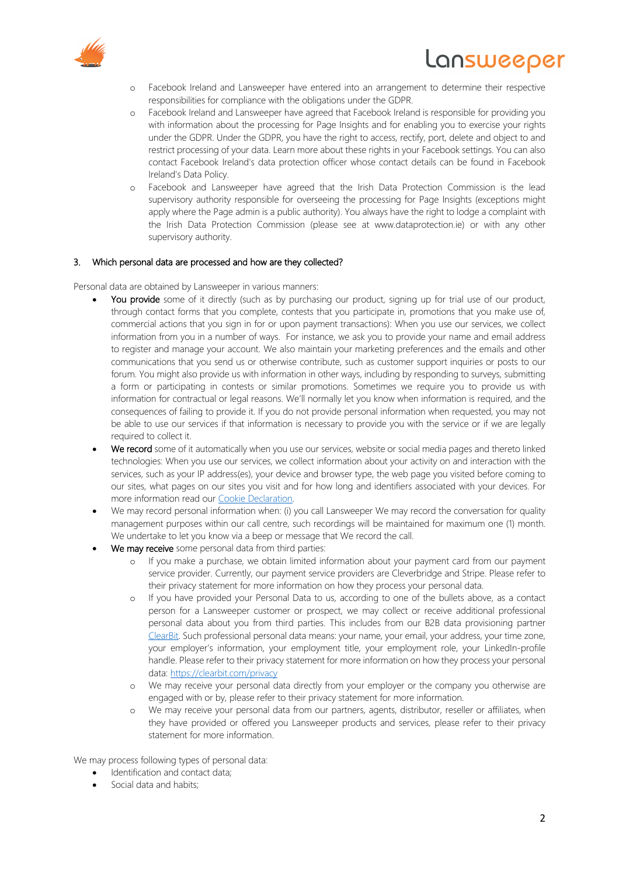

- Lansweeper
- o Facebook Ireland and Lansweeper have entered into an arrangement to determine their respective responsibilities for compliance with the obligations under the GDPR.
- o Facebook Ireland and Lansweeper have agreed that Facebook Ireland is responsible for providing you with information about the processing for Page Insights and for enabling you to exercise your rights under the GDPR. Under the GDPR, you have the right to access, rectify, port, delete and object to and restrict processing of your data. Learn more about these rights in your Facebook settings. You can also contact Facebook Ireland's data protection officer whose contact details can be found in Facebook Ireland's Data Policy.
- o Facebook and Lansweeper have agreed that the Irish Data Protection Commission is the lead supervisory authority responsible for overseeing the processing for Page Insights (exceptions might apply where the Page admin is a public authority). You always have the right to lodge a complaint with the Irish Data Protection Commission (please see at www.dataprotection.ie) or with any other supervisory authority.

#### 3. Which personal data are processed and how are they collected?

Personal data are obtained by Lansweeper in various manners:

- You provide some of it directly (such as by purchasing our product, signing up for trial use of our product, through contact forms that you complete, contests that you participate in, promotions that you make use of, commercial actions that you sign in for or upon payment transactions): When you use our services, we collect information from you in a number of ways. For instance, we ask you to provide your name and email address to register and manage your account. We also maintain your marketing preferences and the emails and other communications that you send us or otherwise contribute, such as customer support inquiries or posts to our forum. You might also provide us with information in other ways, including by responding to surveys, submitting a form or participating in contests or similar promotions. Sometimes we require you to provide us with information for contractual or legal reasons. We'll normally let you know when information is required, and the consequences of failing to provide it. If you do not provide personal information when requested, you may not be able to use our services if that information is necessary to provide you with the service or if we are legally required to collect it.
- We record some of it automatically when you use our services, website or social media pages and thereto linked technologies: When you use our services, we collect information about your activity on and interaction with the services, such as your IP address(es), your device and browser type, the web page you visited before coming to our sites, what pages on our sites you visit and for how long and identifiers associated with your devices. For more information read our Cookie Declaration.
- We may record personal information when: (i) you call Lansweeper We may record the conversation for quality management purposes within our call centre, such recordings will be maintained for maximum one (1) month. We undertake to let you know via a beep or message that We record the call.
- We may receive some personal data from third parties:
	- o If you make a purchase, we obtain limited information about your payment card from our payment service provider. Currently, our payment service providers are Cleverbridge and Stripe. Please refer to their privacy statement for more information on how they process your personal data.
	- o If you have provided your Personal Data to us, according to one of the bullets above, as a contact person for a Lansweeper customer or prospect, we may collect or receive additional professional personal data about you from third parties. This includes from our B2B data provisioning partner ClearBit. Such professional personal data means: your name, your email, your address, your time zone, your employer's information, your employment title, your employment role, your LinkedIn-profile handle. Please refer to their privacy statement for more information on how they process your personal data: https://clearbit.com/privacy
	- o We may receive your personal data directly from your employer or the company you otherwise are engaged with or by, please refer to their privacy statement for more information.
	- o We may receive your personal data from our partners, agents, distributor, reseller or affiliates, when they have provided or offered you Lansweeper products and services, please refer to their privacy statement for more information.

We may process following types of personal data:

- Identification and contact data;
- Social data and habits;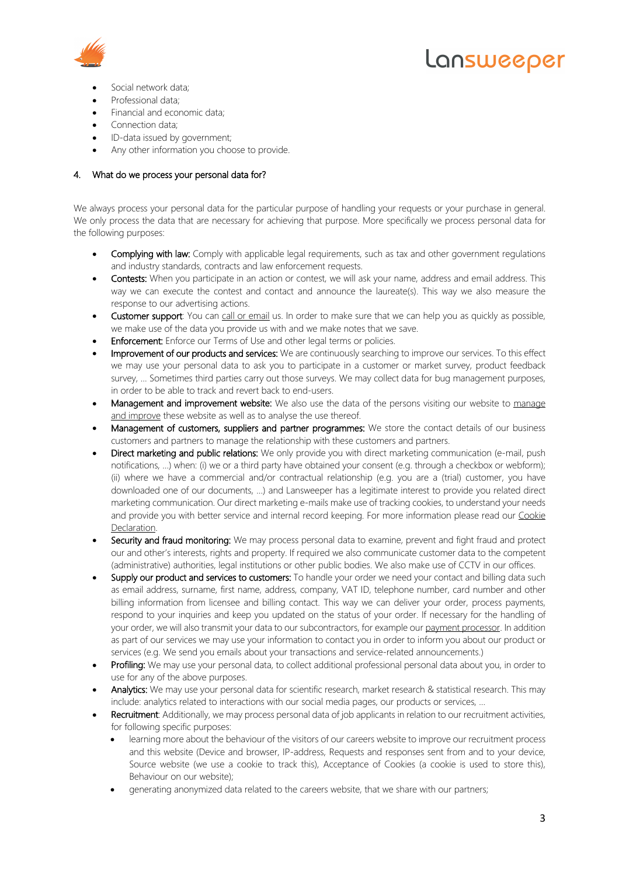



- Social network data;
- Professional data;
- Financial and economic data;
- Connection data;
- ID-data issued by government;
- Any other information you choose to provide.

# 4. What do we process your personal data for?

We always process your personal data for the particular purpose of handling your requests or your purchase in general. We only process the data that are necessary for achieving that purpose. More specifically we process personal data for the following purposes:

- **Complying with law:** Comply with applicable legal requirements, such as tax and other government regulations and industry standards, contracts and law enforcement requests.
- Contests: When you participate in an action or contest, we will ask your name, address and email address. This way we can execute the contest and contact and announce the laureate(s). This way we also measure the response to our advertising actions.
- Customer support: You can call or email us. In order to make sure that we can help you as quickly as possible, we make use of the data you provide us with and we make notes that we save.
- **Enforcement:** Enforce our Terms of Use and other legal terms or policies.
- Improvement of our products and services: We are continuously searching to improve our services. To this effect we may use your personal data to ask you to participate in a customer or market survey, product feedback survey, … Sometimes third parties carry out those surveys. We may collect data for bug management purposes, in order to be able to track and revert back to end-users.
- Management and improvement website: We also use the data of the persons visiting our website to manage and improve these website as well as to analyse the use thereof.
- Management of customers, suppliers and partner programmes: We store the contact details of our business customers and partners to manage the relationship with these customers and partners.
- Direct marketing and public relations: We only provide you with direct marketing communication (e-mail, push notifications, …) when: (i) we or a third party have obtained your consent (e.g. through a checkbox or webform); (ii) where we have a commercial and/or contractual relationship (e.g. you are a (trial) customer, you have downloaded one of our documents, …) and Lansweeper has a legitimate interest to provide you related direct marketing communication. Our direct marketing e-mails make use of tracking cookies, to understand your needs and provide you with better service and internal record keeping. For more information please read our Cookie Declaration.
- Security and fraud monitoring: We may process personal data to examine, prevent and fight fraud and protect our and other's interests, rights and property. If required we also communicate customer data to the competent (administrative) authorities, legal institutions or other public bodies. We also make use of CCTV in our offices.
- Supply our product and services to customers: To handle your order we need your contact and billing data such as email address, surname, first name, address, company, VAT ID, telephone number, card number and other billing information from licensee and billing contact. This way we can deliver your order, process payments, respond to your inquiries and keep you updated on the status of your order. If necessary for the handling of your order, we will also transmit your data to our subcontractors, for example our payment processor. In addition as part of our services we may use your information to contact you in order to inform you about our product or services (e.g. We send you emails about your transactions and service-related announcements.)
- Profiling: We may use your personal data, to collect additional professional personal data about you, in order to use for any of the above purposes.
- Analytics: We may use your personal data for scientific research, market research & statistical research. This may include: analytics related to interactions with our social media pages, our products or services, …
- Recruitment: Additionally, we may process personal data of job applicants in relation to our recruitment activities, for following specific purposes:
	- learning more about the behaviour of the visitors of our careers website to improve our recruitment process and this website (Device and browser, IP-address, Requests and responses sent from and to your device, Source website (we use a cookie to track this), Acceptance of Cookies (a cookie is used to store this), Behaviour on our website);
	- generating anonymized data related to the careers website, that we share with our partners;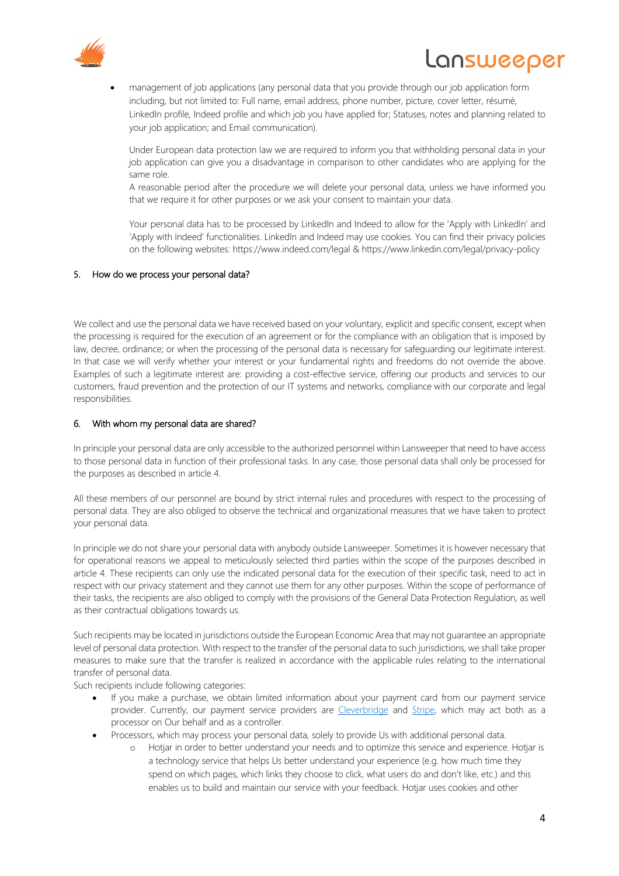

# **NUSMGGDGL**

• management of job applications (any personal data that you provide through our job application form including, but not limited to: Full name, email address, phone number, picture, cover letter, résumé, LinkedIn profile, Indeed profile and which job you have applied for; Statuses, notes and planning related to your job application; and Email communication).

Under European data protection law we are required to inform you that withholding personal data in your job application can give you a disadvantage in comparison to other candidates who are applying for the same role.

A reasonable period after the procedure we will delete your personal data, unless we have informed you that we require it for other purposes or we ask your consent to maintain your data.

Your personal data has to be processed by LinkedIn and Indeed to allow for the 'Apply with LinkedIn' and 'Apply with Indeed' functionalities. LinkedIn and Indeed may use cookies. You can find their privacy policies on the following websites: https://www.indeed.com/legal & https://www.linkedin.com/legal/privacy-policy

## 5. How do we process your personal data?

We collect and use the personal data we have received based on your voluntary, explicit and specific consent, except when the processing is required for the execution of an agreement or for the compliance with an obligation that is imposed by law, decree, ordinance; or when the processing of the personal data is necessary for safeguarding our legitimate interest. In that case we will verify whether your interest or your fundamental rights and freedoms do not override the above. Examples of such a legitimate interest are: providing a cost-effective service, offering our products and services to our customers, fraud prevention and the protection of our IT systems and networks, compliance with our corporate and legal responsibilities.

#### 6. With whom my personal data are shared?

In principle your personal data are only accessible to the authorized personnel within Lansweeper that need to have access to those personal data in function of their professional tasks. In any case, those personal data shall only be processed for the purposes as described in article 4.

All these members of our personnel are bound by strict internal rules and procedures with respect to the processing of personal data. They are also obliged to observe the technical and organizational measures that we have taken to protect your personal data.

In principle we do not share your personal data with anybody outside Lansweeper. Sometimes it is however necessary that for operational reasons we appeal to meticulously selected third parties within the scope of the purposes described in article 4. These recipients can only use the indicated personal data for the execution of their specific task, need to act in respect with our privacy statement and they cannot use them for any other purposes. Within the scope of performance of their tasks, the recipients are also obliged to comply with the provisions of the General Data Protection Regulation, as well as their contractual obligations towards us.

Such recipients may be located in jurisdictions outside the European Economic Area that may not guarantee an appropriate level of personal data protection. With respect to the transfer of the personal data to such jurisdictions, we shall take proper measures to make sure that the transfer is realized in accordance with the applicable rules relating to the international transfer of personal data.

Such recipients include following categories:

- If you make a purchase, we obtain limited information about your payment card from our payment service provider. Currently, our payment service providers are Cleverbridge and Stripe, which may act both as a processor on Our behalf and as a controller.
- Processors, which may process your personal data, solely to provide Us with additional personal data.
	- o Hotjar in order to better understand your needs and to optimize this service and experience. Hotjar is a technology service that helps Us better understand your experience (e.g. how much time they spend on which pages, which links they choose to click, what users do and don't like, etc.) and this enables us to build and maintain our service with your feedback. Hotjar uses cookies and other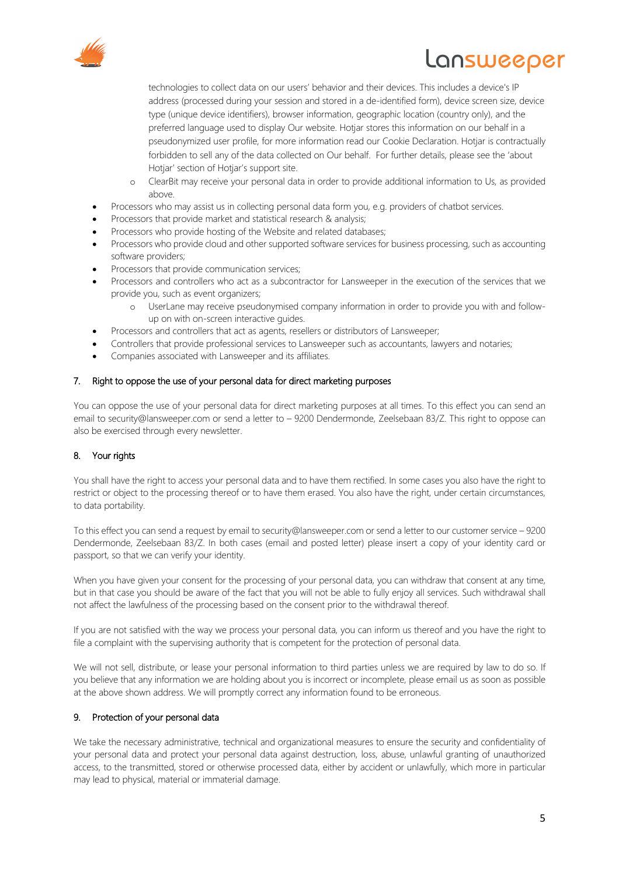

# **nsweeper**

technologies to collect data on our users' behavior and their devices. This includes a device's IP address (processed during your session and stored in a de-identified form), device screen size, device type (unique device identifiers), browser information, geographic location (country only), and the preferred language used to display Our website. Hotjar stores this information on our behalf in a pseudonymized user profile, for more information read our Cookie Declaration. Hotjar is contractually forbidden to sell any of the data collected on Our behalf. For further details, please see the 'about Hotjar' section of Hotjar's support site.

- o ClearBit may receive your personal data in order to provide additional information to Us, as provided above.
- Processors who may assist us in collecting personal data form you, e.g. providers of chatbot services.
- Processors that provide market and statistical research & analysis;
- Processors who provide hosting of the Website and related databases;
- Processors who provide cloud and other supported software services for business processing, such as accounting software providers;
- Processors that provide communication services;
- Processors and controllers who act as a subcontractor for Lansweeper in the execution of the services that we provide you, such as event organizers;
	- o UserLane may receive pseudonymised company information in order to provide you with and followup on with on-screen interactive guides.
- Processors and controllers that act as agents, resellers or distributors of Lansweeper;
- Controllers that provide professional services to Lansweeper such as accountants, lawyers and notaries;
- Companies associated with Lansweeper and its affiliates.

# 7. Right to oppose the use of your personal data for direct marketing purposes

You can oppose the use of your personal data for direct marketing purposes at all times. To this effect you can send an email to security@lansweeper.com or send a letter to – 9200 Dendermonde, Zeelsebaan 83/Z. This right to oppose can also be exercised through every newsletter.

# 8. Your rights

You shall have the right to access your personal data and to have them rectified. In some cases you also have the right to restrict or object to the processing thereof or to have them erased. You also have the right, under certain circumstances, to data portability.

To this effect you can send a request by email to security@lansweeper.com or send a letter to our customer service – 9200 Dendermonde, Zeelsebaan 83/Z. In both cases (email and posted letter) please insert a copy of your identity card or passport, so that we can verify your identity.

When you have given your consent for the processing of your personal data, you can withdraw that consent at any time, but in that case you should be aware of the fact that you will not be able to fully enjoy all services. Such withdrawal shall not affect the lawfulness of the processing based on the consent prior to the withdrawal thereof.

If you are not satisfied with the way we process your personal data, you can inform us thereof and you have the right to file a complaint with the supervising authority that is competent for the protection of personal data.

We will not sell, distribute, or lease your personal information to third parties unless we are required by law to do so. If you believe that any information we are holding about you is incorrect or incomplete, please email us as soon as possible at the above shown address. We will promptly correct any information found to be erroneous.

## 9. Protection of your personal data

We take the necessary administrative, technical and organizational measures to ensure the security and confidentiality of your personal data and protect your personal data against destruction, loss, abuse, unlawful granting of unauthorized access, to the transmitted, stored or otherwise processed data, either by accident or unlawfully, which more in particular may lead to physical, material or immaterial damage.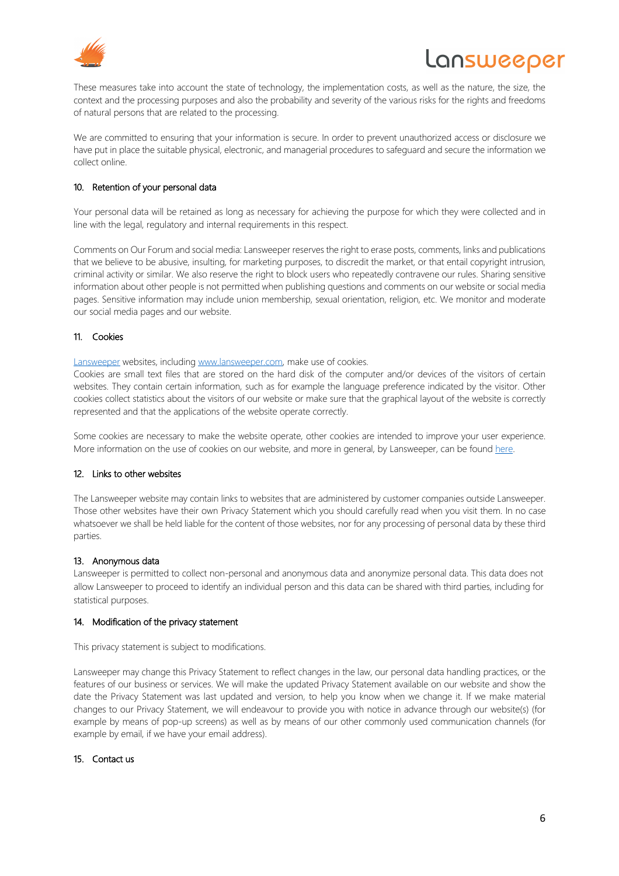

# **NUSMGGDGL**

These measures take into account the state of technology, the implementation costs, as well as the nature, the size, the context and the processing purposes and also the probability and severity of the various risks for the rights and freedoms of natural persons that are related to the processing.

We are committed to ensuring that your information is secure. In order to prevent unauthorized access or disclosure we have put in place the suitable physical, electronic, and managerial procedures to safeguard and secure the information we collect online.

# 10. Retention of your personal data

Your personal data will be retained as long as necessary for achieving the purpose for which they were collected and in line with the legal, regulatory and internal requirements in this respect.

Comments on Our Forum and social media: Lansweeper reserves the right to erase posts, comments, links and publications that we believe to be abusive, insulting, for marketing purposes, to discredit the market, or that entail copyright intrusion, criminal activity or similar. We also reserve the right to block users who repeatedly contravene our rules. Sharing sensitive information about other people is not permitted when publishing questions and comments on our website or social media pages. Sensitive information may include union membership, sexual orientation, religion, etc. We monitor and moderate our social media pages and our website.

# 11. Cookies

Lansweeper websites, including www.lansweeper.com, make use of cookies.

Cookies are small text files that are stored on the hard disk of the computer and/or devices of the visitors of certain websites. They contain certain information, such as for example the language preference indicated by the visitor. Other cookies collect statistics about the visitors of our website or make sure that the graphical layout of the website is correctly represented and that the applications of the website operate correctly.

Some cookies are necessary to make the website operate, other cookies are intended to improve your user experience. More information on the use of cookies on our website, and more in general, by Lansweeper, can be found here.

# 12. Links to other websites

The Lansweeper website may contain links to websites that are administered by customer companies outside Lansweeper. Those other websites have their own Privacy Statement which you should carefully read when you visit them. In no case whatsoever we shall be held liable for the content of those websites, nor for any processing of personal data by these third parties.

## 13. Anonymous data

Lansweeper is permitted to collect non-personal and anonymous data and anonymize personal data. This data does not allow Lansweeper to proceed to identify an individual person and this data can be shared with third parties, including for statistical purposes.

## 14. Modification of the privacy statement

This privacy statement is subject to modifications.

Lansweeper may change this Privacy Statement to reflect changes in the law, our personal data handling practices, or the features of our business or services. We will make the updated Privacy Statement available on our website and show the date the Privacy Statement was last updated and version, to help you know when we change it. If we make material changes to our Privacy Statement, we will endeavour to provide you with notice in advance through our website(s) (for example by means of pop-up screens) as well as by means of our other commonly used communication channels (for example by email, if we have your email address).

## 15. Contact us